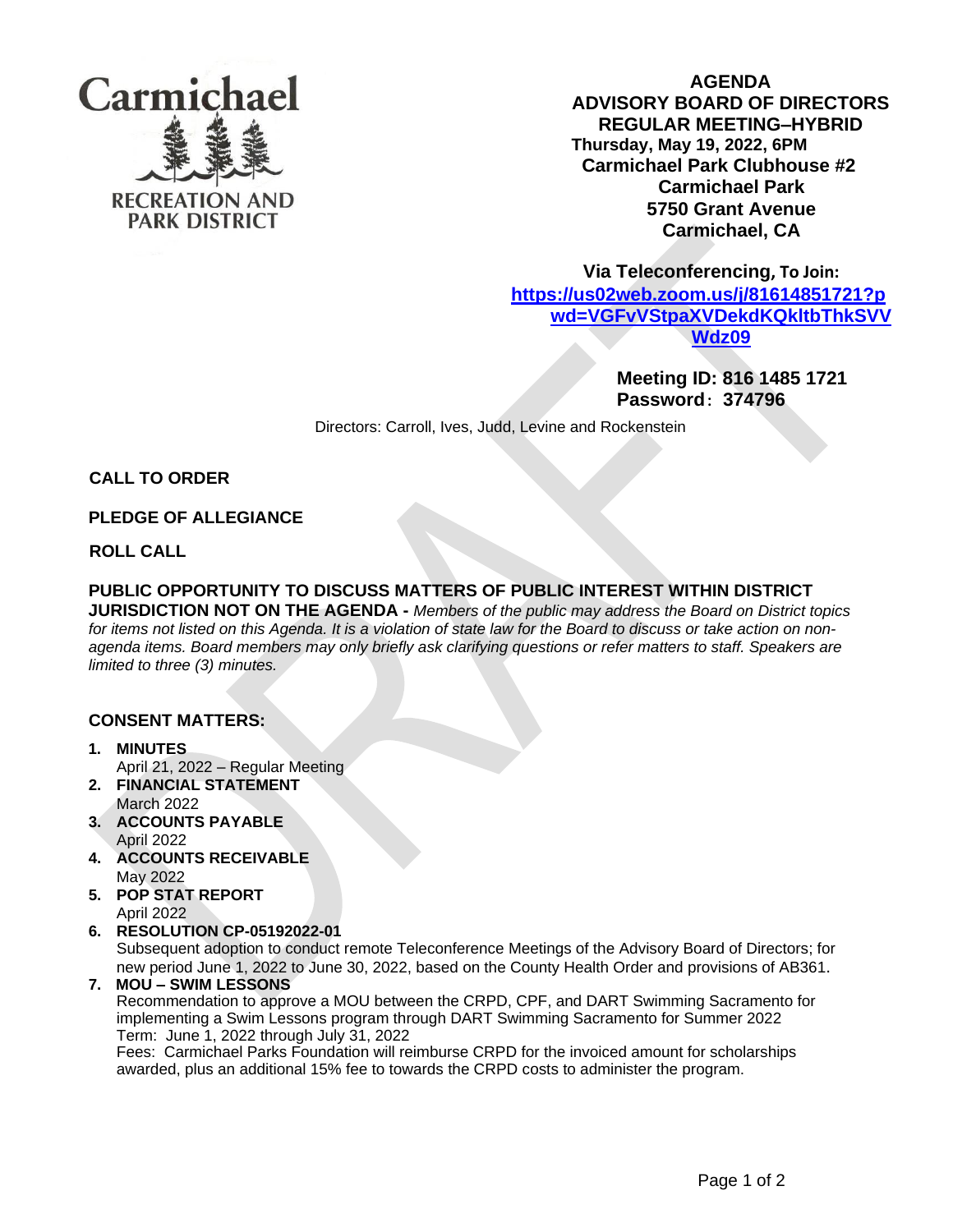

**AGENDA ADVISORY BOARD OF DIRECTORS REGULAR MEETING–HYBRID Thursday, May 19, 2022, 6PM Carmichael Park Clubhouse #2 Carmichael Park 5750 Grant Avenue Carmichael, CA**

 **Via Teleconferencing, To Join:** 

**[https://us02web.zoom.us/j/81614851721?p](https://us02web.zoom.us/j/81614851721?pwd=VGFvVStpaXVDekdKQkltbThkSVVWdz09) [wd=VGFvVStpaXVDekdKQkltbThkSVV](https://us02web.zoom.us/j/81614851721?pwd=VGFvVStpaXVDekdKQkltbThkSVVWdz09) [Wdz09](https://us02web.zoom.us/j/81614851721?pwd=VGFvVStpaXVDekdKQkltbThkSVVWdz09)**

> **Meeting ID: 816 1485 1721 Password**: **374796**

Directors: Carroll, Ives, Judd, Levine and Rockenstein

**CALL TO ORDER** 

## **PLEDGE OF ALLEGIANCE**

**ROLL CALL**

# **PUBLIC OPPORTUNITY TO DISCUSS MATTERS OF PUBLIC INTEREST WITHIN DISTRICT**

**JURISDICTION NOT ON THE AGENDA -** *Members of the public may address the Board on District topics for items not listed on this Agenda. It is a violation of state law for the Board to discuss or take action on nonagenda items. Board members may only briefly ask clarifying questions or refer matters to staff. Speakers are limited to three (3) minutes.*

#### **CONSENT MATTERS:**

- **1. MINUTES** April 21, 2022 – Regular Meeting
- **2. FINANCIAL STATEMENT** March 2022
- **3. ACCOUNTS PAYABLE**  April 2022
- **4. ACCOUNTS RECEIVABLE** May 2022
- **5. POP STAT REPORT** April 2022
- **6. RESOLUTION CP-05192022-01**

Subsequent adoption to conduct remote Teleconference Meetings of the Advisory Board of Directors; for new period June 1, 2022 to June 30, 2022, based on the County Health Order and provisions of AB361.

# **7. MOU – SWIM LESSONS**

Recommendation to approve a MOU between the CRPD, CPF, and DART Swimming Sacramento for implementing a Swim Lessons program through DART Swimming Sacramento for Summer 2022 Term: June 1, 2022 through July 31, 2022

Fees: Carmichael Parks Foundation will reimburse CRPD for the invoiced amount for scholarships awarded, plus an additional 15% fee to towards the CRPD costs to administer the program.